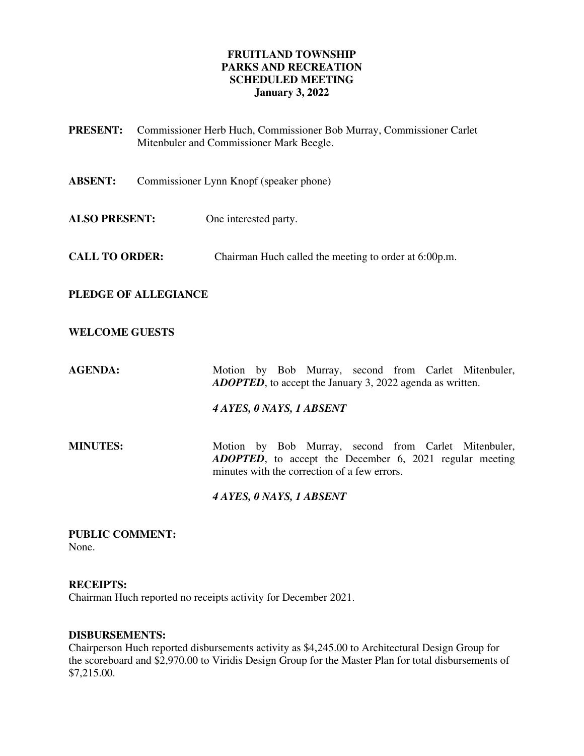## **FRUITLAND TOWNSHIP PARKS AND RECREATION SCHEDULED MEETING January 3, 2022**

**PRESENT:** Commissioner Herb Huch, Commissioner Bob Murray, Commissioner Carlet Mitenbuler and Commissioner Mark Beegle. **ABSENT:** Commissioner Lynn Knopf (speaker phone) **ALSO PRESENT:** One interested party. **CALL TO ORDER:** Chairman Huch called the meeting to order at 6:00p.m. **PLEDGE OF ALLEGIANCE WELCOME GUESTS**  AGENDA: Motion by Bob Murray, second from Carlet Mitenbuler, *ADOPTED*, to accept the January 3, 2022 agenda as written. *4 AYES, 0 NAYS, 1 ABSENT*  **MINUTES:** Motion by Bob Murray, second from Carlet Mitenbuler, *ADOPTED*, to accept the December 6, 2021 regular meeting minutes with the correction of a few errors.  *4 AYES, 0 NAYS, 1 ABSENT* 

**PUBLIC COMMENT:**  None.

#### **RECEIPTS:**

Chairman Huch reported no receipts activity for December 2021.

## **DISBURSEMENTS:**

Chairperson Huch reported disbursements activity as \$4,245.00 to Architectural Design Group for the scoreboard and \$2,970.00 to Viridis Design Group for the Master Plan for total disbursements of \$7,215.00.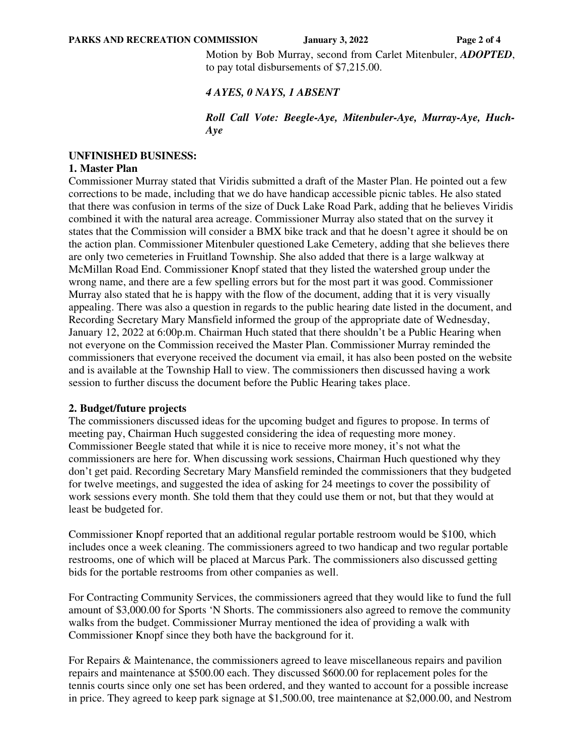Motion by Bob Murray, second from Carlet Mitenbuler, *ADOPTED*, to pay total disbursements of \$7,215.00.

#### *4 AYES, 0 NAYS, 1 ABSENT*

### *Roll Call Vote: Beegle-Aye, Mitenbuler-Aye, Murray-Aye, Huch-Aye*

### **UNFINISHED BUSINESS:**

#### **1. Master Plan**

Commissioner Murray stated that Viridis submitted a draft of the Master Plan. He pointed out a few corrections to be made, including that we do have handicap accessible picnic tables. He also stated that there was confusion in terms of the size of Duck Lake Road Park, adding that he believes Viridis combined it with the natural area acreage. Commissioner Murray also stated that on the survey it states that the Commission will consider a BMX bike track and that he doesn't agree it should be on the action plan. Commissioner Mitenbuler questioned Lake Cemetery, adding that she believes there are only two cemeteries in Fruitland Township. She also added that there is a large walkway at McMillan Road End. Commissioner Knopf stated that they listed the watershed group under the wrong name, and there are a few spelling errors but for the most part it was good. Commissioner Murray also stated that he is happy with the flow of the document, adding that it is very visually appealing. There was also a question in regards to the public hearing date listed in the document, and Recording Secretary Mary Mansfield informed the group of the appropriate date of Wednesday, January 12, 2022 at 6:00p.m. Chairman Huch stated that there shouldn't be a Public Hearing when not everyone on the Commission received the Master Plan. Commissioner Murray reminded the commissioners that everyone received the document via email, it has also been posted on the website and is available at the Township Hall to view. The commissioners then discussed having a work session to further discuss the document before the Public Hearing takes place.

#### **2. Budget/future projects**

The commissioners discussed ideas for the upcoming budget and figures to propose. In terms of meeting pay, Chairman Huch suggested considering the idea of requesting more money. Commissioner Beegle stated that while it is nice to receive more money, it's not what the commissioners are here for. When discussing work sessions, Chairman Huch questioned why they don't get paid. Recording Secretary Mary Mansfield reminded the commissioners that they budgeted for twelve meetings, and suggested the idea of asking for 24 meetings to cover the possibility of work sessions every month. She told them that they could use them or not, but that they would at least be budgeted for.

Commissioner Knopf reported that an additional regular portable restroom would be \$100, which includes once a week cleaning. The commissioners agreed to two handicap and two regular portable restrooms, one of which will be placed at Marcus Park. The commissioners also discussed getting bids for the portable restrooms from other companies as well.

For Contracting Community Services, the commissioners agreed that they would like to fund the full amount of \$3,000.00 for Sports 'N Shorts. The commissioners also agreed to remove the community walks from the budget. Commissioner Murray mentioned the idea of providing a walk with Commissioner Knopf since they both have the background for it.

For Repairs & Maintenance, the commissioners agreed to leave miscellaneous repairs and pavilion repairs and maintenance at \$500.00 each. They discussed \$600.00 for replacement poles for the tennis courts since only one set has been ordered, and they wanted to account for a possible increase in price. They agreed to keep park signage at \$1,500.00, tree maintenance at \$2,000.00, and Nestrom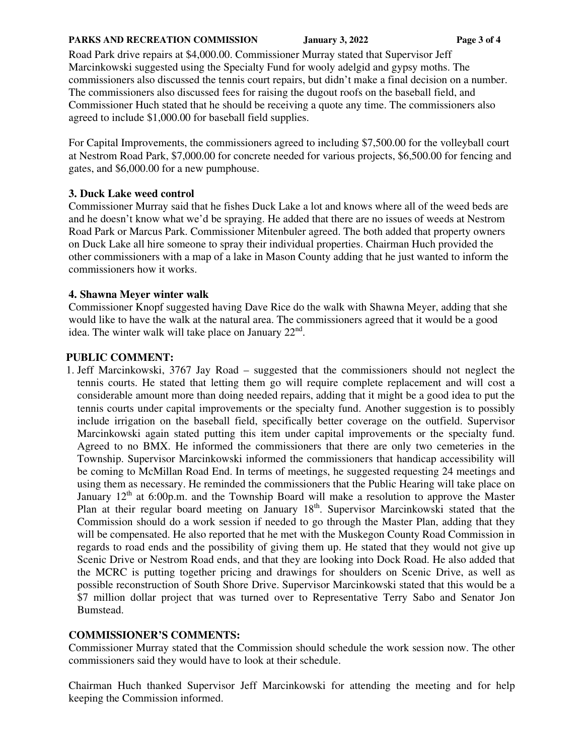#### **PARKS AND RECREATION COMMISSION** January 3, 2022 Page 3 of 4

Road Park drive repairs at \$4,000.00. Commissioner Murray stated that Supervisor Jeff Marcinkowski suggested using the Specialty Fund for wooly adelgid and gypsy moths. The commissioners also discussed the tennis court repairs, but didn't make a final decision on a number. The commissioners also discussed fees for raising the dugout roofs on the baseball field, and Commissioner Huch stated that he should be receiving a quote any time. The commissioners also agreed to include \$1,000.00 for baseball field supplies.

For Capital Improvements, the commissioners agreed to including \$7,500.00 for the volleyball court at Nestrom Road Park, \$7,000.00 for concrete needed for various projects, \$6,500.00 for fencing and gates, and \$6,000.00 for a new pumphouse.

## **3. Duck Lake weed control**

Commissioner Murray said that he fishes Duck Lake a lot and knows where all of the weed beds are and he doesn't know what we'd be spraying. He added that there are no issues of weeds at Nestrom Road Park or Marcus Park. Commissioner Mitenbuler agreed. The both added that property owners on Duck Lake all hire someone to spray their individual properties. Chairman Huch provided the other commissioners with a map of a lake in Mason County adding that he just wanted to inform the commissioners how it works.

# **4. Shawna Meyer winter walk**

Commissioner Knopf suggested having Dave Rice do the walk with Shawna Meyer, adding that she would like to have the walk at the natural area. The commissioners agreed that it would be a good idea. The winter walk will take place on January  $22<sup>nd</sup>$ .

# **PUBLIC COMMENT:**

1. Jeff Marcinkowski, 3767 Jay Road – suggested that the commissioners should not neglect the tennis courts. He stated that letting them go will require complete replacement and will cost a considerable amount more than doing needed repairs, adding that it might be a good idea to put the tennis courts under capital improvements or the specialty fund. Another suggestion is to possibly include irrigation on the baseball field, specifically better coverage on the outfield. Supervisor Marcinkowski again stated putting this item under capital improvements or the specialty fund. Agreed to no BMX. He informed the commissioners that there are only two cemeteries in the Township. Supervisor Marcinkowski informed the commissioners that handicap accessibility will be coming to McMillan Road End. In terms of meetings, he suggested requesting 24 meetings and using them as necessary. He reminded the commissioners that the Public Hearing will take place on January  $12<sup>th</sup>$  at 6:00p.m. and the Township Board will make a resolution to approve the Master Plan at their regular board meeting on January 18<sup>th</sup>. Supervisor Marcinkowski stated that the Commission should do a work session if needed to go through the Master Plan, adding that they will be compensated. He also reported that he met with the Muskegon County Road Commission in regards to road ends and the possibility of giving them up. He stated that they would not give up Scenic Drive or Nestrom Road ends, and that they are looking into Dock Road. He also added that the MCRC is putting together pricing and drawings for shoulders on Scenic Drive, as well as possible reconstruction of South Shore Drive. Supervisor Marcinkowski stated that this would be a \$7 million dollar project that was turned over to Representative Terry Sabo and Senator Jon Bumstead.

## **COMMISSIONER'S COMMENTS:**

Commissioner Murray stated that the Commission should schedule the work session now. The other commissioners said they would have to look at their schedule.

Chairman Huch thanked Supervisor Jeff Marcinkowski for attending the meeting and for help keeping the Commission informed.